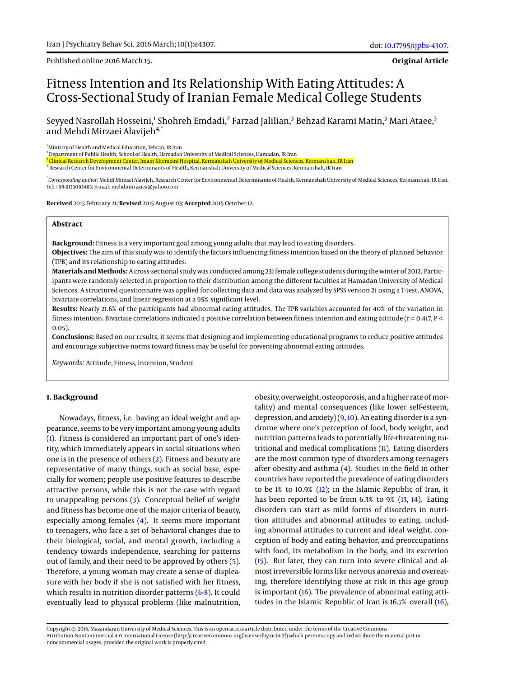Published online 2016 March 15.

**Original Article**

# Fitness Intention and Its Relationship With Eating Attitudes: A Cross-Sectional Study of Iranian Female Medical College Students

Seyyed Nasrollah Hosseini,<sup>1</sup> Shohreh Emdadi,<sup>2</sup> Farzad Jalilian,<sup>3</sup> Behzad Karami Matin,<sup>3</sup> Mari Ataee,<sup>3</sup> and Mehdi Mirzaei Alavijeh<sup>4,\*</sup>

<sup>1</sup>Ministry of Health and Medical Education, Tehran, IR Iran

<sup>2</sup>Department of Public Health, School of Health, Hamadan University of Medical Sciences, Hamadan, IR Iran <sup>3</sup>Clinical Research Development Center, Imam Khomeini Hospital, Kermanshah University of Medical Sciences, Kermanshah, IR Iran 4 Research Center for Environmental Determinants of Health, Kermanshah University of Medical Sciences, Kermanshah, IR Iran

\* *Corresponding author*: Mehdi Mirzaei Alavijeh, Research Center for Environmental Determinants of Health, Kermanshah University of Medical Sciences, Kermanshah, IR Iran. Tel: +98-9133093483; E-mail: mehdimirzaiea@yahoo.com

**Received** 2015 February 21; **Revised** 2015 August 03; **Accepted** 2015 October 12.

# **Abstract**

**Background:** Fitness is a very important goal among young adults that may lead to eating disorders.

**Objectives:** The aim of this study was to identify the factors influencing fitness intention based on the theory of planned behavior (TPB) and its relationship to eating attitudes.

**Materials and Methods:** A cross-sectional study was conducted among 231 female college students during the winter of 2012. Participants were randomly selected in proportion to their distribution among the different faculties at Hamadan University of Medical Sciences. A structured questionnaire was applied for collecting data and data was analyzed by SPSS version 21 using a T-test, ANOVA, bivariate correlations, and linear regression at a 95% significant level.

**Results:** Nearly 21.6% of the participants had abnormal eating attitudes. The TPB variables accounted for 40% of the variation in fitness intention. Bivariate correlations indicated a positive correlation between fitness intention and eating attitude ( $r = 0.417$ ,  $P <$ 0.05).

**Conclusions:** Based on our results, it seems that designing and implementing educational programs to reduce positive attitudes and encourage subjective norms toward fitness may be useful for preventing abnormal eating attitudes.

*Keywords:* Attitude, Fitness, Intention, Student

## **1. Background**

Nowadays, fitness, i.e. having an ideal weight and appearance, seems to be very important among young adults [\(1\)](#page-4-0). Fitness is considered an important part of one's identity, which immediately appears in social situations when one is in the presence of others [\(2\)](#page-4-1). Fitness and beauty are representative of many things, such as social base, especially for women; people use positive features to describe attractive persons, while this is not the case with regard to unappealing persons [\(3\)](#page-4-2). Conceptual belief of weight and fitness has become one of the major criteria of beauty, especially among females [\(4\)](#page-4-3). It seems more important to teenagers, who face a set of behavioral changes due to their biological, social, and mental growth, including a tendency towards independence, searching for patterns out of family, and their need to be approved by others [\(5\)](#page-4-4). Therefore, a young woman may create a sense of displeasure with her body if she is not satisfied with her fitness, which results in nutrition disorder patterns [\(6](#page-4-5)[-8\)](#page-4-6). It could eventually lead to physical problems (like malnutrition,

obesity, overweight, osteoporosis, and a higher rate of mortality) and mental consequences (like lower self-esteem, depression, and anxiety)  $(9, 10)$  $(9, 10)$  $(9, 10)$ . An eating disorder is a syndrome where one's perception of food, body weight, and nutrition patterns leads to potentially life-threatening nutritional and medical complications [\(11\)](#page-4-9). Eating disorders are the most common type of disorders among teenagers after obesity and asthma [\(4\)](#page-4-3). Studies in the field in other countries have reported the prevalence of eating disorders to be 1% to 10.9% [\(12\)](#page-4-10); in the Islamic Republic of Iran, it has been reported to be from  $6.3\%$  to  $9\%$   $(13, 14)$  $(13, 14)$  $(13, 14)$ . Eating disorders can start as mild forms of disorders in nutrition attitudes and abnormal attitudes to eating, including abnormal attitudes to current and ideal weight, conception of body and eating behavior, and preoccupations with food, its metabolism in the body, and its excretion [\(15\)](#page-4-13). But later, they can turn into severe clinical and almost irreversible forms like nervous anorexia and overeating, therefore identifying those at risk in this age group is important [\(16\)](#page-4-14). The prevalence of abnormal eating attitudes in the Islamic Republic of Iran is 16.7% overall [\(16\)](#page-4-14),

Copyright © 2016, Mazandaran University of Medical Sciences. This is an open-access article distributed under the terms of the Creative Commons Attribution-NonCommercial 4.0 International License (http://creativecommons.org/licenses/by-nc/4.0/) which permits copy and redistribute the material just in noncommercial usages, provided the original work is properly cited.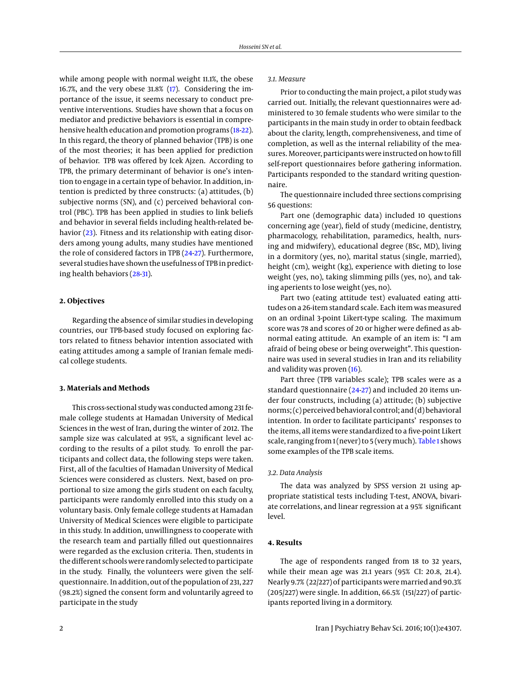while among people with normal weight 11.1%, the obese 16.7%, and the very obese 31.8% [\(17\)](#page-4-15). Considering the importance of the issue, it seems necessary to conduct preventive interventions. Studies have shown that a focus on mediator and predictive behaviors is essential in comprehensive health education and promotion programs [\(18-](#page-4-16)[22\)](#page-4-17). In this regard, the theory of planned behavior (TPB) is one of the most theories; it has been applied for prediction of behavior. TPB was offered by Icek Ajzen. According to TPB, the primary determinant of behavior is one's intention to engage in a certain type of behavior. In addition, intention is predicted by three constructs: (a) attitudes, (b) subjective norms (SN), and (c) perceived behavioral control (PBC). TPB has been applied in studies to link beliefs and behavior in several fields including health-related be-havior [\(23\)](#page-4-18). Fitness and its relationship with eating disorders among young adults, many studies have mentioned the role of considered factors in TPB [\(24-](#page-4-19)[27\)](#page-5-0). Furthermore, several studies have shown the usefulness of TPB in predicting health behaviors [\(28-](#page-5-1)[31\)](#page-5-2).

## **2. Objectives**

Regarding the absence of similar studies in developing countries, our TPB-based study focused on exploring factors related to fitness behavior intention associated with eating attitudes among a sample of Iranian female medical college students.

## **3. Materials and Methods**

This cross-sectional study was conducted among 231 female college students at Hamadan University of Medical Sciences in the west of Iran, during the winter of 2012. The sample size was calculated at 95%, a significant level according to the results of a pilot study. To enroll the participants and collect data, the following steps were taken. First, all of the faculties of Hamadan University of Medical Sciences were considered as clusters. Next, based on proportional to size among the girls student on each faculty, participants were randomly enrolled into this study on a voluntary basis. Only female college students at Hamadan University of Medical Sciences were eligible to participate in this study. In addition, unwillingness to cooperate with the research team and partially filled out questionnaires were regarded as the exclusion criteria. Then, students in the different schools were randomly selected to participate in the study. Finally, the volunteers were given the selfquestionnaire. In addition, out of the population of 231, 227 (98.2%) signed the consent form and voluntarily agreed to participate in the study

#### *3.1. Measure*

Prior to conducting the main project, a pilot study was carried out. Initially, the relevant questionnaires were administered to 30 female students who were similar to the participants in the main study in order to obtain feedback about the clarity, length, comprehensiveness, and time of completion, as well as the internal reliability of the measures. Moreover, participants were instructed on how to fill self-report questionnaires before gathering information. Participants responded to the standard writing questionnaire.

The questionnaire included three sections comprising 56 questions:

Part one (demographic data) included 10 questions concerning age (year), field of study (medicine, dentistry, pharmacology, rehabilitation, paramedics, health, nursing and midwifery), educational degree (BSc, MD), living in a dormitory (yes, no), marital status (single, married), height (cm), weight (kg), experience with dieting to lose weight (yes, no), taking slimming pills (yes, no), and taking aperients to lose weight (yes, no).

Part two (eating attitude test) evaluated eating attitudes on a 26-item standard scale. Each item was measured on an ordinal 3-point Likert-type scaling. The maximum score was 78 and scores of 20 or higher were defined as abnormal eating attitude. An example of an item is: "I am afraid of being obese or being overweight". This questionnaire was used in several studies in Iran and its reliability and validity was proven [\(16\)](#page-4-14).

Part three (TPB variables scale); TPB scales were as a standard questionnaire [\(24-](#page-4-19)[27\)](#page-5-0) and included 20 items under four constructs, including (a) attitude; (b) subjective norms; (c) perceived behavioral control; and (d) behavioral intention. In order to facilitate participants' responses to the items, all items were standardized to a five-point Likert scale, ranging from 1 (never) to 5 (very much). [Table 1](#page-2-0) shows some examples of the TPB scale items.

## *3.2. Data Analysis*

The data was analyzed by SPSS version 21 using appropriate statistical tests including T-test, ANOVA, bivariate correlations, and linear regression at a 95% significant level.

# **4. Results**

The age of respondents ranged from 18 to 32 years, while their mean age was 21.1 years (95% CI: 20.8, 21.4). Nearly 9.7% (22/227) of participants were married and 90.3% (205/227) were single. In addition, 66.5% (151/227) of participants reported living in a dormitory.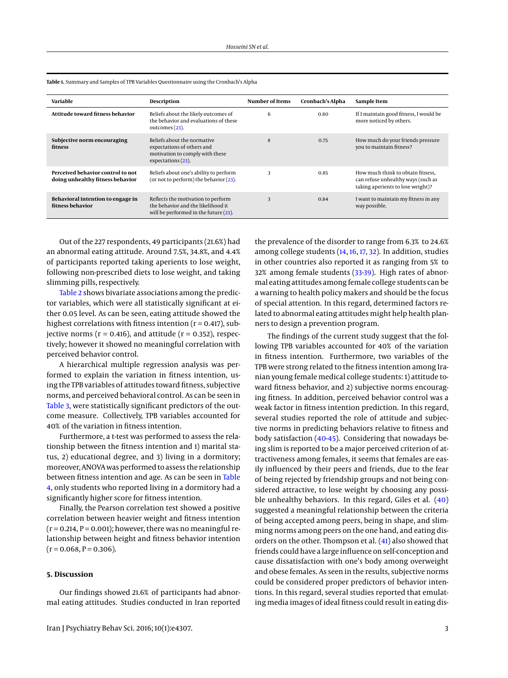| Variable                                                              | Description                                                                                                          | Number of Items | Cronbach's Alpha | Sample Item                                                                                                  |
|-----------------------------------------------------------------------|----------------------------------------------------------------------------------------------------------------------|-----------------|------------------|--------------------------------------------------------------------------------------------------------------|
| Attitude toward fitness behavior                                      | Beliefs about the likely outcomes of<br>the behavior and evaluations of these<br>outcomes (23).                      | 6               | 0.80             | If I maintain good fitness, I would be<br>more noticed by others.                                            |
| Subjective norm encouraging<br>fitness                                | Beliefs about the normative<br>expectations of others and<br>motivation to comply with these<br>expectations (23).   | 8               | 0.75             | How much do your friends pressure<br>you to maintain fitness?                                                |
| Perceived behavior control to not<br>doing unhealthy fitness behavior | Beliefs about one's ability to perform<br>(or not to perform) the behavior (23).                                     | 3               | 0.85             | How much think to obtain fitness.<br>can refuse unhealthy ways (such as<br>taking aperients to lose weight)? |
| Behavioral intention to engage in<br>fitness behavior                 | Reflects the motivation to perform<br>the behavior and the likelihood it<br>will be performed in the future $(23)$ . | $\mathbf{3}$    | 0.84             | I want to maintain my fitness in any<br>way possible.                                                        |

<span id="page-2-0"></span>**Table 1.** Summary and Samples of TPB Variables Questionnaire using the Cronbach's Alpha

Out of the 227 respondents, 49 participants (21.6%) had an abnormal eating attitude. Around 7.5%, 34.8%, and 4.4% of participants reported taking aperients to lose weight, following non-prescribed diets to lose weight, and taking slimming pills, respectively.

[Table 2](#page-3-0) shows bivariate associations among the predictor variables, which were all statistically significant at either 0.05 level. As can be seen, eating attitude showed the highest correlations with fitness intention ( $r = 0.417$ ), subjective norms ( $r = 0.416$ ), and attitude ( $r = 0.352$ ), respectively; however it showed no meaningful correlation with perceived behavior control.

A hierarchical multiple regression analysis was performed to explain the variation in fitness intention, using the TPB variables of attitudes toward fitness, subjective norms, and perceived behavioral control. As can be seen in [Table 3,](#page-3-1) were statistically significant predictors of the outcome measure. Collectively, TPB variables accounted for 40% of the variation in fitness intention.

Furthermore, a t-test was performed to assess the relationship between the fitness intention and 1) marital status, 2) educational degree, and 3) living in a dormitory; moreover, ANOVA was performed to assess the relationship between fitness intention and age. As can be seen in [Table](#page-3-2) [4,](#page-3-2) only students who reported living in a dormitory had a significantly higher score for fitness intention.

Finally, the Pearson correlation test showed a positive correlation between heavier weight and fitness intention  $(r = 0.214, P = 0.001)$ ; however, there was no meaningful relationship between height and fitness behavior intention  $(r = 0.068, P = 0.306)$ .

# **5. Discussion**

Our findings showed 21.6% of participants had abnormal eating attitudes. Studies conducted in Iran reported

the prevalence of the disorder to range from 6.3% to 24.6% among college students [\(14,](#page-4-12) [16,](#page-4-14) [17,](#page-4-15) [32\)](#page-5-3). In addition, studies in other countries also reported it as ranging from 5% to 32% among female students [\(33-](#page-5-4)[39\)](#page-5-5). High rates of abnormal eating attitudes among female college students can be a warning to health policy makers and should be the focus of special attention. In this regard, determined factors related to abnormal eating attitudes might help health planners to design a prevention program.

The findings of the current study suggest that the following TPB variables accounted for 40% of the variation in fitness intention. Furthermore, two variables of the TPB were strong related to the fitness intention among Iranian young female medical college students: 1) attitude toward fitness behavior, and 2) subjective norms encouraging fitness. In addition, perceived behavior control was a weak factor in fitness intention prediction. In this regard, several studies reported the role of attitude and subjective norms in predicting behaviors relative to fitness and body satisfaction [\(40-](#page-5-6)[45\)](#page-5-7). Considering that nowadays being slim is reported to be a major perceived criterion of attractiveness among females, it seems that females are easily influenced by their peers and friends, due to the fear of being rejected by friendship groups and not being considered attractive, to lose weight by choosing any possible unhealthy behaviors. In this regard, Giles et al. [\(40\)](#page-5-6) suggested a meaningful relationship between the criteria of being accepted among peers, being in shape, and slimming norms among peers on the one hand, and eating disorders on the other. Thompson et al. [\(41\)](#page-5-8) also showed that friends could have a large influence on self-conception and cause dissatisfaction with one's body among overweight and obese females. As seen in the results, subjective norms could be considered proper predictors of behavior intentions. In this regard, several studies reported that emulating media images of ideal fitness could result in eating dis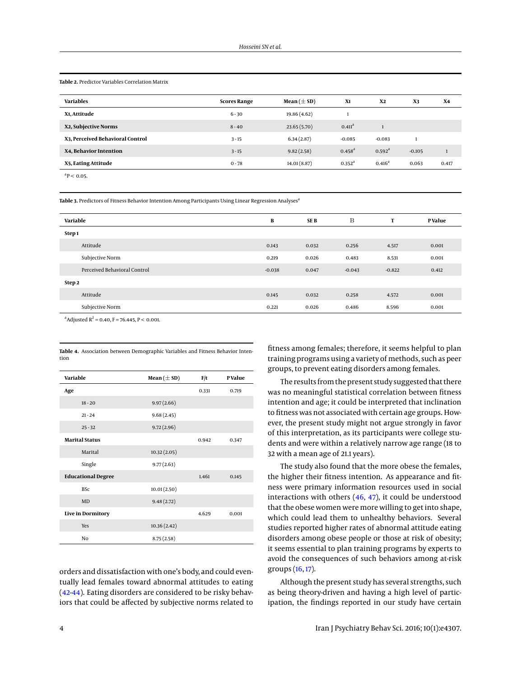<span id="page-3-0"></span>**Table 2.** Predictor Variables Correlation Matrix

| <b>Variables</b>                 | <b>Scores Range</b> | Mean $(\pm SD)$ | <b>X1</b>            | X <sub>2</sub>     | X3       | <b>X4</b> |
|----------------------------------|---------------------|-----------------|----------------------|--------------------|----------|-----------|
| X1, Attitude                     | $6 - 30$            | 19.86(4.62)     |                      |                    |          |           |
| X2, Subjective Norms             | $8 - 40$            | 23.65(5.70)     | $0.411$ <sup>a</sup> |                    |          |           |
| X3. Perceived Behavioral Control | $3 - 15$            | 6.34(2.87)      | $-0.085$             | $-0.083$           |          |           |
| X4, Behavior Intention           | $3 - 15$            | 9.82(2.58)      | $0.458$ <sup>a</sup> | 0.592 <sup>a</sup> | $-0.105$ |           |
| X5, Eating Attitude              | $0 - 78$            | 14.01(8.87)     | 0.352 <sup>a</sup>   | $0.416^{a}$        | 0.063    | 0.417     |
| $dn - q =$                       |                     |                 |                      |                    |          |           |

 $\rm{^{a}P} < 0.05$ .

<span id="page-3-1"></span>Table 3. Predictors of Fitness Behavior Intention Among Participants Using Linear Regression Analyses<sup>a</sup>

| Variable |                              | B        | <b>SEB</b> | B        | T        | <b>P</b> Value |
|----------|------------------------------|----------|------------|----------|----------|----------------|
| Step 1   |                              |          |            |          |          |                |
|          | Attitude                     | 0.143    | 0.032      | 0.256    | 4.517    | 0.001          |
|          | Subjective Norm              | 0.219    | 0.026      | 0.483    | 8.531    | 0.001          |
|          | Perceived Behavioral Control | $-0.038$ | 0.047      | $-0.043$ | $-0.822$ | 0.412          |
| Step 2   |                              |          |            |          |          |                |
|          | Attitude                     | 0.145    | 0.032      | 0.258    | 4.572    | 0.001          |
|          | Subjective Norm              | 0.221    | 0.026      | 0.486    | 8.596    | 0.001          |

<sup>a</sup> Adjusted  $R^2 = 0.40$ , F = 76.445, P < 0.001.

| tion     |                 |       |                |
|----------|-----------------|-------|----------------|
| Variable | Mean $(\pm SD)$ | F/t   | <b>P</b> Value |
| Age      |                 | 0.331 | 0.719          |

<span id="page-3-2"></span>**Table 4.** Association between Demographic Variables and Fitness Behavior Inten-

| Age |                           |             | 0.331 | 0.719 |
|-----|---------------------------|-------------|-------|-------|
|     | $18 - 20$                 | 9.97(2.66)  |       |       |
|     | $21 - 24$                 | 9.68(2.45)  |       |       |
|     | $25 - 32$                 | 9.72(2.96)  |       |       |
|     | <b>Marital Status</b>     |             | 0.942 | 0.347 |
|     | Marital                   | 10.32(2.05) |       |       |
|     | Single                    | 9.77(2.63)  |       |       |
|     | <b>Educational Degree</b> |             | 1.461 | 0.145 |
|     | <b>BSc</b>                | 10.01(2.50) |       |       |
|     | <b>MD</b>                 | 9.48(2.72)  |       |       |
|     | <b>Live in Dormitory</b>  |             | 4.629 | 0.001 |
|     | Yes                       | 10.36(2.42) |       |       |
|     | No                        | 8.75(2.58)  |       |       |

orders and dissatisfaction with one's body, and could eventually lead females toward abnormal attitudes to eating [\(42-](#page-5-9)[44\)](#page-5-10). Eating disorders are considered to be risky behaviors that could be affected by subjective norms related to fitness among females; therefore, it seems helpful to plan training programs using a variety of methods, such as peer groups, to prevent eating disorders among females.

The results from the present study suggested that there was no meaningful statistical correlation between fitness intention and age; it could be interpreted that inclination to fitness was not associated with certain age groups. However, the present study might not argue strongly in favor of this interpretation, as its participants were college students and were within a relatively narrow age range (18 to 32 with a mean age of 21.1 years).

The study also found that the more obese the females, the higher their fitness intention. As appearance and fitness were primary information resources used in social interactions with others [\(46,](#page-5-11) [47\)](#page-5-12), it could be understood that the obese women were more willing to get into shape, which could lead them to unhealthy behaviors. Several studies reported higher rates of abnormal attitude eating disorders among obese people or those at risk of obesity; it seems essential to plan training programs by experts to avoid the consequences of such behaviors among at-risk groups [\(16,](#page-4-14) [17\)](#page-4-15).

Although the present study has several strengths, such as being theory-driven and having a high level of participation, the findings reported in our study have certain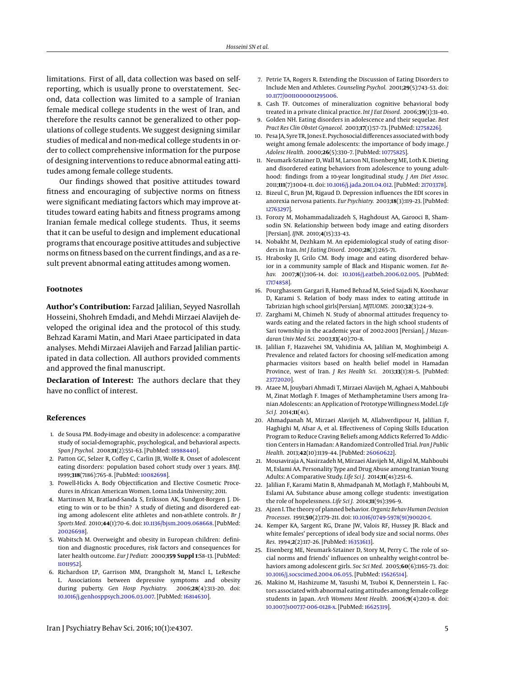limitations. First of all, data collection was based on selfreporting, which is usually prone to overstatement. Second, data collection was limited to a sample of Iranian female medical college students in the west of Iran, and therefore the results cannot be generalized to other populations of college students. We suggest designing similar studies of medical and non-medical college students in order to collect comprehensive information for the purpose of designing interventions to reduce abnormal eating attitudes among female college students.

Our findings showed that positive attitudes toward fitness and encouraging of subjective norms on fitness were significant mediating factors which may improve attitudes toward eating habits and fitness programs among Iranian female medical college students. Thus, it seems that it can be useful to design and implement educational programs that encourage positive attitudes and subjective norms on fitness based on the current findings, and as a result prevent abnormal eating attitudes among women.

# **Footnotes**

**Author's Contribution:** Farzad Jalilian, Seyyed Nasrollah Hosseini, Shohreh Emdadi, and Mehdi Mirzaei Alavijeh developed the original idea and the protocol of this study. Behzad Karami Matin, and Mari Ataee participated in data analyses. Mehdi Mirzaei Alavijeh and Farzad Jalilian participated in data collection. All authors provided comments and approved the final manuscript.

**Declaration of Interest:** The authors declare that they have no conflict of interest.

#### **References**

- <span id="page-4-0"></span>1. de Sousa PM. Body-image and obesity in adolescence: a comparative study of social-demographic, psychological, and behavioral aspects. *Span J Psychol.* 2008;**11**(2):551–63. [PubMed: [18988440\]](http://www.ncbi.nlm.nih.gov/pubmed/18988440).
- <span id="page-4-1"></span>2. Patton GC, Selzer R, Coffey C, Carlin JB, Wolfe R. Onset of adolescent eating disorders: population based cohort study over 3 years. *BMJ.* 1999;**318**(7186):765–8. [PubMed: [10082698\]](http://www.ncbi.nlm.nih.gov/pubmed/10082698).
- <span id="page-4-2"></span>3. Powell-Hicks A. Body Objectification and Elective Cosmetic Procedures in African American Women. Loma Linda University; 2011.
- <span id="page-4-3"></span>4. Martinsen M, Bratland-Sanda S, Eriksson AK, Sundgot-Borgen J. Dieting to win or to be thin? A study of dieting and disordered eating among adolescent elite athletes and non-athlete controls. *Br J Sports Med.* 2010;**44**(1):70–6. doi: [10.1136/bjsm.2009.068668.](http://dx.doi.org/10.1136/bjsm.2009.068668) [PubMed: [20026698\]](http://www.ncbi.nlm.nih.gov/pubmed/20026698).
- <span id="page-4-4"></span>5. Wabitsch M. Overweight and obesity in European children: definition and diagnostic procedures, risk factors and consequences for later health outcome. *Eur J Pediatr.* 2000;**159 Suppl 1**:S8–13. [PubMed: [11011952\]](http://www.ncbi.nlm.nih.gov/pubmed/11011952).
- <span id="page-4-5"></span>6. Richardson LP, Garrison MM, Drangsholt M, Mancl L, LeResche L. Associations between depressive symptoms and obesity during puberty. *Gen Hosp Psychiatry.* 2006;**28**(4):313–20. doi: [10.1016/j.genhosppsych.2006.03.007.](http://dx.doi.org/10.1016/j.genhosppsych.2006.03.007) [PubMed: [16814630\]](http://www.ncbi.nlm.nih.gov/pubmed/16814630).
- 7. Petrie TA, Rogers R. Extending the Discussion of Eating Disorders to Include Men and Athletes. *Counseling Psychol.* 2001;**29**(5):743–53. doi: [10.1177/0011000001295006.](http://dx.doi.org/10.1177/0011000001295006)
- <span id="page-4-6"></span>8. Cash TF. Outcomes of mineralization cognitive behavioral body treated in a private clinical practice. *Int J Eat Disord.* 2006;**39**(1):31–40.
- <span id="page-4-7"></span>9. Golden NH. Eating disorders in adolescence and their sequelae. *Best Pract Res Clin Obstet Gynaecol.* 2003;**17**(1):57–73. [PubMed: [12758226\]](http://www.ncbi.nlm.nih.gov/pubmed/12758226).
- <span id="page-4-8"></span>10. Pesa JA, Syre TR, Jones E. Psychosocial differences associated with body weight among female adolescents: the importance of body image. *J Adolesc Health.* 2000;**26**(5):330–7. [PubMed: [10775825\]](http://www.ncbi.nlm.nih.gov/pubmed/10775825).
- <span id="page-4-9"></span>11. Neumark-Sztainer D, Wall M, Larson NI, Eisenberg ME, Loth K. Dieting and disordered eating behaviors from adolescence to young adulthood: findings from a 10-year longitudinal study. *J Am Diet Assoc.* 2011;**111**(7):1004–11. doi: [10.1016/j.jada.2011.04.012.](http://dx.doi.org/10.1016/j.jada.2011.04.012) [PubMed: [21703378\]](http://www.ncbi.nlm.nih.gov/pubmed/21703378).
- <span id="page-4-10"></span>12. Bizeul C, Brun JM, Rigaud D. Depression influences the EDI scores in anorexia nervosa patients. *Eur Psychiatry.* 2003;**18**(3):119–23. [PubMed: [12763297\]](http://www.ncbi.nlm.nih.gov/pubmed/12763297).
- <span id="page-4-11"></span>13. Forozy M, Mohammadalizadeh S, Haghdoust AA, Garooci B, Shamsodin SN. Relationship between body image and eating disorders [Persian]. *IJNR.* 2010;**4**(15):33–43.
- <span id="page-4-12"></span>14. Nobakht M, Dezhkam M. An epidemiological study of eating disorders in Iran. *Int J Eating Disord.* 2000;**28**(3):265–71.
- <span id="page-4-13"></span>15. Hrabosky JI, Grilo CM. Body image and eating disordered behavior in a community sample of Black and Hispanic women. *Eat Behav.* 2007;**8**(1):106–14. doi: [10.1016/j.eatbeh.2006.02.005.](http://dx.doi.org/10.1016/j.eatbeh.2006.02.005) [PubMed: [17174858\]](http://www.ncbi.nlm.nih.gov/pubmed/17174858).
- <span id="page-4-14"></span>16. Pourghassem Gargari B, Hamed Behzad M, Seied Sajadi N, Kooshavar D, Karami S. Relation of body mass index to eating attitude in Tabrizian high school girls[Persian]. *MJTUOMS.* 2010;**32**(3):24–9.
- <span id="page-4-15"></span>17. Zarghami M, Chimeh N. Study of abnormal attitudes frequency towards eating and the related factors in the high school students of Sari township in the academic year of 2002-2003 [Persian]. *J Mazandaran Univ Med Sci.* 2003;**13**(40):70–8.
- <span id="page-4-16"></span>18. Jalilian F, Hazavehei SM, Vahidinia AA, Jalilian M, Moghimbeigi A. Prevalence and related factors for choosing self-medication among pharmacies visitors based on health belief model in Hamadan Province, west of Iran. *J Res Health Sci.* 2013;**13**(1):81–5. [PubMed: [23772020\]](http://www.ncbi.nlm.nih.gov/pubmed/23772020).
- 19. Ataee M, Jouybari Ahmadi T, Mirzaei Alavijeh M, Aghaei A, Mahboubi M, Zinat Motlagh F. Images of Methamphetamine Users among Iranian Adolescents: an Application of Prototype Willingness Model. *Life Sci J.* 2014;**11**(4s).
- 20. Ahmadpanah M, Mirzaei Alavijeh M, Allahverdipour H, Jalilian F, Haghighi M, Afsar A, et al. Effectiveness of Coping Skills Education Program to Reduce Craving Beliefs among Addicts Referred To Addiction Centers in Hamadan: A Randomized Controlled Trial. *Iran J Public Health.* 2013;**42**(10):1139–44. [PubMed: [26060622\]](http://www.ncbi.nlm.nih.gov/pubmed/26060622).
- 21. Mousaviraja A, Nasirzadeh M, Mirzaei Alavijeh M, Aligol M, Mahboubi M, Eslami AA. Personality Type and Drug Abuse among Iranian Young Adults: A Comparative Study. *Life Sci J.* 2014;**11**(4s):251–6.
- <span id="page-4-17"></span>22. Jalilian F, Karami Matin B, Ahmadpanah M, Motlagh F, Mahboubi M, Eslami AA. Substance abuse among college students: investigation the role of hopelessness. *Life Sci J.* 2014;**11**(9s):396–9.
- <span id="page-4-18"></span>23. Ajzen I. The theory of planned behavior.*Organiz Behav Human Decision Processes.* 1991;**50**(2):179–211. doi: [10.1016/0749-5978\(91\)90020-t.](http://dx.doi.org/10.1016/0749-5978(91)90020-t)
- <span id="page-4-19"></span>24. Kemper KA, Sargent RG, Drane JW, Valois RF, Hussey JR. Black and white females' perceptions of ideal body size and social norms. *Obes Res.* 1994;**2**(2):117–26. [PubMed: [16353613\]](http://www.ncbi.nlm.nih.gov/pubmed/16353613).
- 25. Eisenberg ME, Neumark-Sztainer D, Story M, Perry C. The role of social norms and friends' influences on unhealthy weight-control behaviors among adolescent girls. *Soc Sci Med.* 2005;**60**(6):1165–73. doi: [10.1016/j.socscimed.2004.06.055.](http://dx.doi.org/10.1016/j.socscimed.2004.06.055) [PubMed: [15626514\]](http://www.ncbi.nlm.nih.gov/pubmed/15626514).
- 26. Makino M, Hashizume M, Yasushi M, Tsuboi K, Dennerstein L. Factors associated with abnormal eating attitudes among female college students in Japan. *Arch Womens Ment Health.* 2006;**9**(4):203–8. doi: [10.1007/s00737-006-0128-x.](http://dx.doi.org/10.1007/s00737-006-0128-x) [PubMed: [16625319\]](http://www.ncbi.nlm.nih.gov/pubmed/16625319).